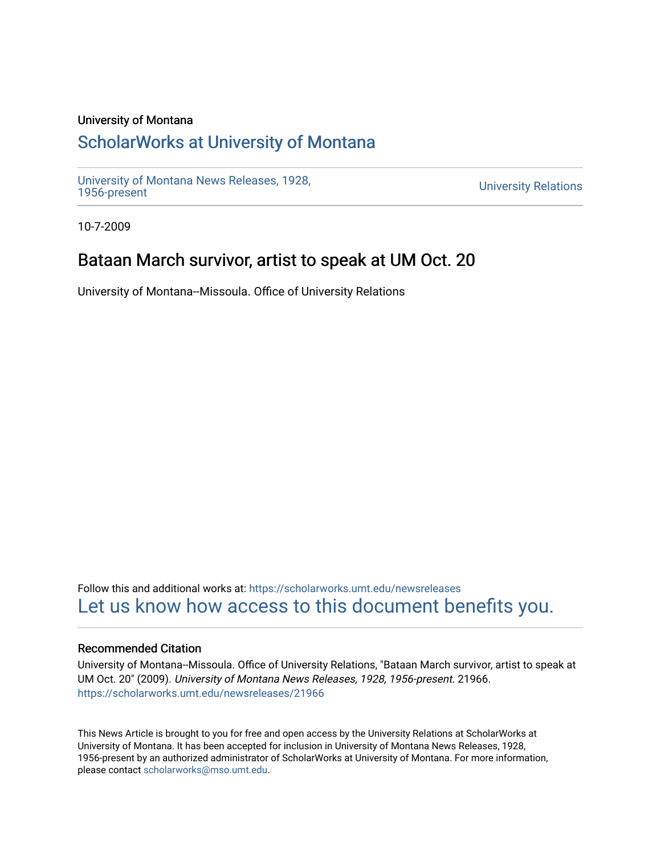### University of Montana

# [ScholarWorks at University of Montana](https://scholarworks.umt.edu/)

[University of Montana News Releases, 1928,](https://scholarworks.umt.edu/newsreleases) 

**University Relations** 

10-7-2009

## Bataan March survivor, artist to speak at UM Oct. 20

University of Montana--Missoula. Office of University Relations

Follow this and additional works at: [https://scholarworks.umt.edu/newsreleases](https://scholarworks.umt.edu/newsreleases?utm_source=scholarworks.umt.edu%2Fnewsreleases%2F21966&utm_medium=PDF&utm_campaign=PDFCoverPages) [Let us know how access to this document benefits you.](https://goo.gl/forms/s2rGfXOLzz71qgsB2) 

### Recommended Citation

University of Montana--Missoula. Office of University Relations, "Bataan March survivor, artist to speak at UM Oct. 20" (2009). University of Montana News Releases, 1928, 1956-present. 21966. [https://scholarworks.umt.edu/newsreleases/21966](https://scholarworks.umt.edu/newsreleases/21966?utm_source=scholarworks.umt.edu%2Fnewsreleases%2F21966&utm_medium=PDF&utm_campaign=PDFCoverPages) 

This News Article is brought to you for free and open access by the University Relations at ScholarWorks at University of Montana. It has been accepted for inclusion in University of Montana News Releases, 1928, 1956-present by an authorized administrator of ScholarWorks at University of Montana. For more information, please contact [scholarworks@mso.umt.edu.](mailto:scholarworks@mso.umt.edu)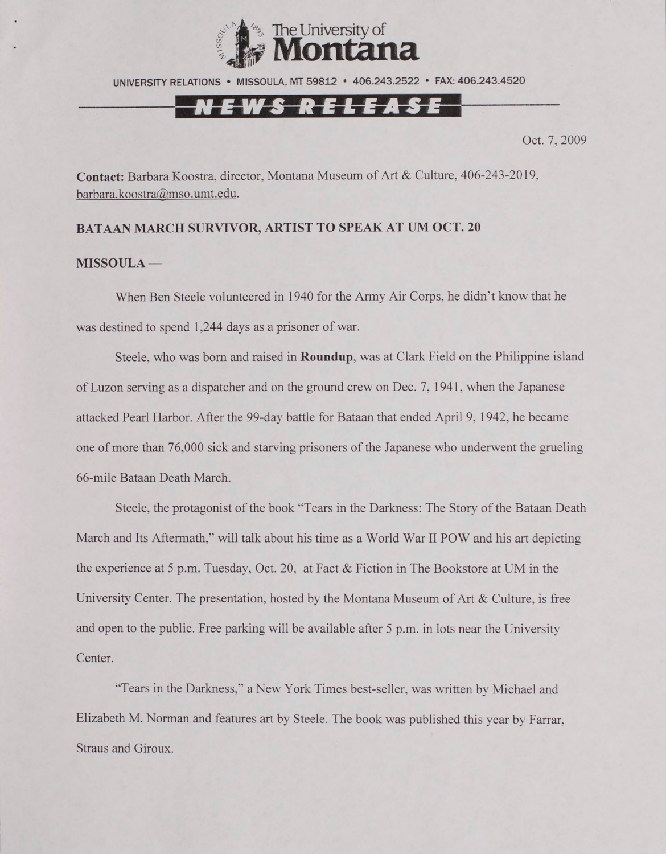

UNIVERSITY RELATIONS • MISSOULA. MT 59812 • 406.243.2522 • FAX: 406.243.4520

## <u>NEWS RELEASE</u>

Oct. 7, 2009

**Contact:** Barbara Koostra, director, Montana Museum of Art & Culture, 406-243-2019, [barbara.koostra@mso.umt.edu.](mailto:barbara.koostra@mso.umt.edu)

#### **BATAAN MARCH SURVIVOR, ARTIST TO SPEAK AT UM OCT. 20**

#### **MISSOULA —**

When Ben Steele volunteered in 1940 for the Army Air Corps, he didn't know that he was destined to spend 1,244 days as a prisoner of war.

Steele, who was bom and raised in **Roundup,** was at Clark Field on the Philippine island of Luzon serving as a dispatcher and on the ground crew on Dec. 7, 1941. when the Japanese attacked Pearl Harbor. After the 99-day battle for Bataan that ended April 9, 1942, he became one of more than 76.000 sick and starving prisoners of the Japanese who underwent the grueling 66-mile Bataan Death March.

Steele, the protagonist of the book "Tears in the Darkness: The Story of the Bataan Death March and Its Aftermath.'' will talk about his time as a World War II POW and his art depicting the experience at 5 p.m. Tuesday, Oct. 20, at Fact & Fiction in The Bookstore at UM in the University Center. The presentation, hosted by the Montana Museum of Art & Culture, is free and open to the public. Free parking will be available after 5 p.m. in lots near the University Center.

"Tears in the Darkness," a New York Times best-seller, was written by Michael and Elizabeth M. Norman and features art by Steele. The book was published this year by Farrar. Straus and Giroux.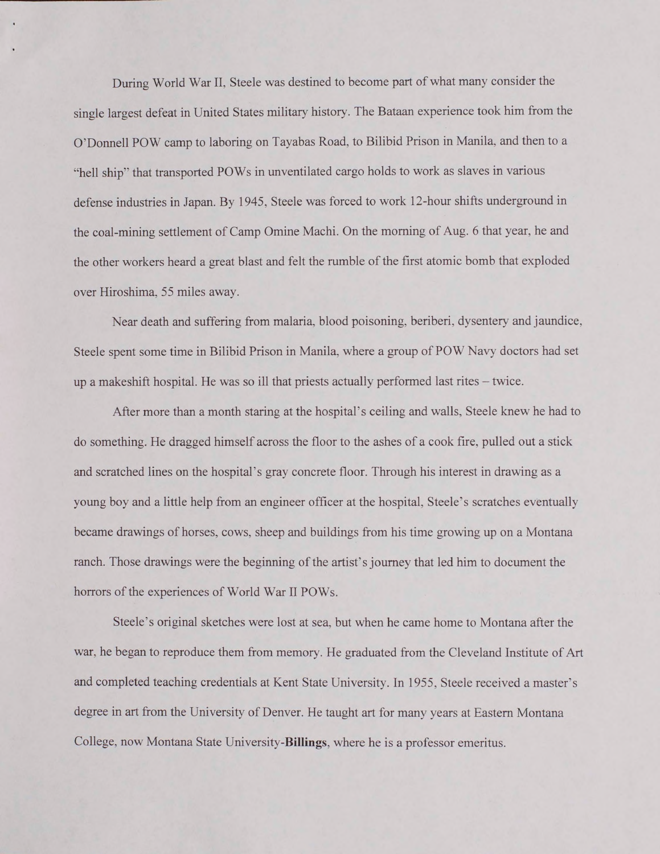During World War II. Steele was destined to become part of what many consider the single largest defeat in United States military history. The Bataan experience took him from the O'Donnell POW camp to laboring on Tayabas Road, to Bilibid Prison in Manila, and then to a "hell ship" that transported POWs in unventilated cargo holds to work as slaves in various defense industries in Japan. By 1945, Steele was forced to work 12-hour shifts underground in the coal-mining settlement of Camp Omine Machi. On the morning of Aug. 6 that year, he and the other workers heard a great blast and felt the rumble of the first atomic bomb that exploded over Hiroshima. 55 miles away.

Near death and suffering from malaria, blood poisoning, beriberi, dysentery and jaundice, Steele spent some time in Bilibid Prison in Manila, where a group of POW Navy doctors had set up a makeshift hospital. He was so ill that priests actually performed last rites - twice.

After more than a month staring at the hospital's ceiling and walls, Steele knew he had to do something. He dragged himself across the floor to the ashes of a cook fire, pulled out a stick and scratched lines on the hospital's gray concrete floor. Through his interest in drawing as a young boy and a little help from an engineer officer at the hospital, Steele's scratches eventually became drawings of horses, cows, sheep and buildings from his time growing up on a Montana ranch. Those drawings were the beginning of the artist's journey that led him to document the horrors of the experiences of World War II POWs.

Steele's original sketches were lost at sea, but when he came home to Montana after the war, he began to reproduce them from memory. He graduated from the Cleveland Institute of Art and completed teaching credentials at Kent State University. In 1955, Steele received a master's degree in art from the University of Denver. He taught art for many years at Eastern Montana College, now Montana State University-Billings, where he is a professor emeritus.